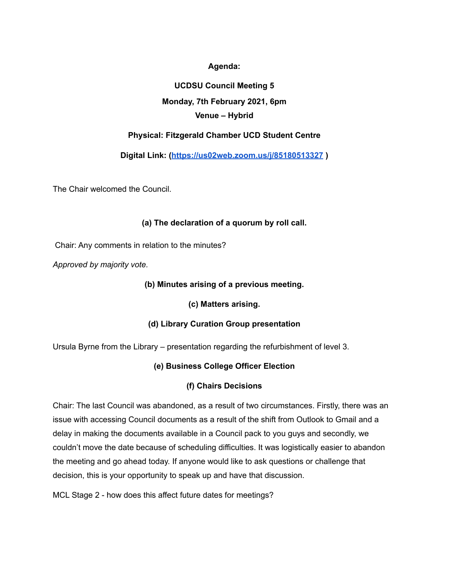**Agenda:**

# **UCDSU Council Meeting 5 Monday, 7th February 2021, 6pm Venue – Hybrid**

## **Physical: Fitzgerald Chamber UCD Student Centre**

**Digital Link: (<https://us02web.zoom.us/j/85180513327> )**

The Chair welcomed the Council.

## **(a) The declaration of a quorum by roll call.**

Chair: Any comments in relation to the minutes?

*Approved by majority vote.*

## **(b) Minutes arising of a previous meeting.**

**(c) Matters arising.**

## **(d) Library Curation Group presentation**

Ursula Byrne from the Library – presentation regarding the refurbishment of level 3.

## **(e) Business College Officer Election**

## **(f) Chairs Decisions**

Chair: The last Council was abandoned, as a result of two circumstances. Firstly, there was an issue with accessing Council documents as a result of the shift from Outlook to Gmail and a delay in making the documents available in a Council pack to you guys and secondly, we couldn't move the date because of scheduling difficulties. It was logistically easier to abandon the meeting and go ahead today. If anyone would like to ask questions or challenge that decision, this is your opportunity to speak up and have that discussion.

MCL Stage 2 - how does this affect future dates for meetings?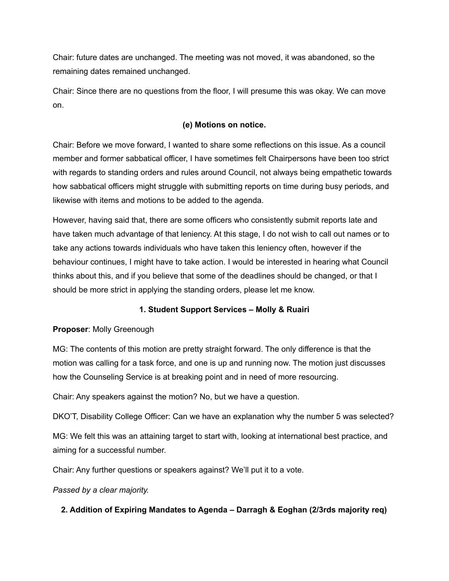Chair: future dates are unchanged. The meeting was not moved, it was abandoned, so the remaining dates remained unchanged.

Chair: Since there are no questions from the floor, I will presume this was okay. We can move on.

## **(e) Motions on notice.**

Chair: Before we move forward, I wanted to share some reflections on this issue. As a council member and former sabbatical officer, I have sometimes felt Chairpersons have been too strict with regards to standing orders and rules around Council, not always being empathetic towards how sabbatical officers might struggle with submitting reports on time during busy periods, and likewise with items and motions to be added to the agenda.

However, having said that, there are some officers who consistently submit reports late and have taken much advantage of that leniency. At this stage, I do not wish to call out names or to take any actions towards individuals who have taken this leniency often, however if the behaviour continues, I might have to take action. I would be interested in hearing what Council thinks about this, and if you believe that some of the deadlines should be changed, or that I should be more strict in applying the standing orders, please let me know.

## **1. Student Support Services – Molly & Ruairi**

## **Proposer**: Molly Greenough

MG: The contents of this motion are pretty straight forward. The only difference is that the motion was calling for a task force, and one is up and running now. The motion just discusses how the Counseling Service is at breaking point and in need of more resourcing.

Chair: Any speakers against the motion? No, but we have a question.

DKO'T, Disability College Officer: Can we have an explanation why the number 5 was selected?

MG: We felt this was an attaining target to start with, looking at international best practice, and aiming for a successful number.

Chair: Any further questions or speakers against? We'll put it to a vote.

*Passed by a clear majority.*

## **2. Addition of Expiring Mandates to Agenda – Darragh & Eoghan (2/3rds majority req)**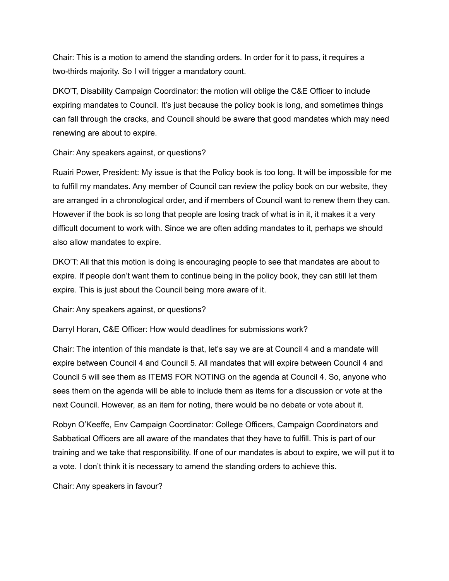Chair: This is a motion to amend the standing orders. In order for it to pass, it requires a two-thirds majority. So I will trigger a mandatory count.

DKO'T, Disability Campaign Coordinator: the motion will oblige the C&E Officer to include expiring mandates to Council. It's just because the policy book is long, and sometimes things can fall through the cracks, and Council should be aware that good mandates which may need renewing are about to expire.

Chair: Any speakers against, or questions?

Ruairi Power, President: My issue is that the Policy book is too long. It will be impossible for me to fulfill my mandates. Any member of Council can review the policy book on our website, they are arranged in a chronological order, and if members of Council want to renew them they can. However if the book is so long that people are losing track of what is in it, it makes it a very difficult document to work with. Since we are often adding mandates to it, perhaps we should also allow mandates to expire.

DKO'T: All that this motion is doing is encouraging people to see that mandates are about to expire. If people don't want them to continue being in the policy book, they can still let them expire. This is just about the Council being more aware of it.

Chair: Any speakers against, or questions?

Darryl Horan, C&E Officer: How would deadlines for submissions work?

Chair: The intention of this mandate is that, let's say we are at Council 4 and a mandate will expire between Council 4 and Council 5. All mandates that will expire between Council 4 and Council 5 will see them as ITEMS FOR NOTING on the agenda at Council 4. So, anyone who sees them on the agenda will be able to include them as items for a discussion or vote at the next Council. However, as an item for noting, there would be no debate or vote about it.

Robyn O'Keeffe, Env Campaign Coordinator: College Officers, Campaign Coordinators and Sabbatical Officers are all aware of the mandates that they have to fulfill. This is part of our training and we take that responsibility. If one of our mandates is about to expire, we will put it to a vote. I don't think it is necessary to amend the standing orders to achieve this.

Chair: Any speakers in favour?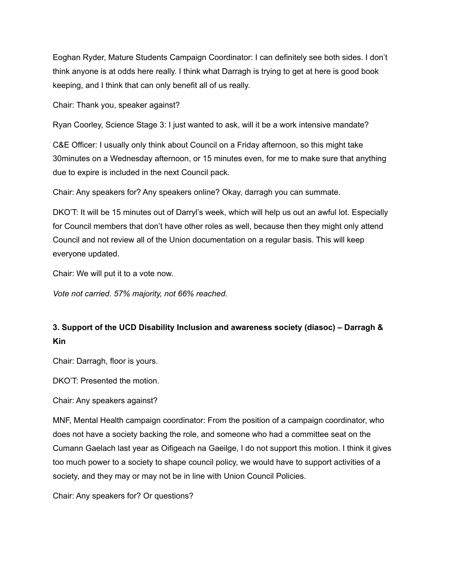Eoghan Ryder, Mature Students Campaign Coordinator: I can definitely see both sides. I don't think anyone is at odds here really. I think what Darragh is trying to get at here is good book keeping, and I think that can only benefit all of us really.

Chair: Thank you, speaker against?

Ryan Coorley, Science Stage 3: I just wanted to ask, will it be a work intensive mandate?

C&E Officer: I usually only think about Council on a Friday afternoon, so this might take 30minutes on a Wednesday afternoon, or 15 minutes even, for me to make sure that anything due to expire is included in the next Council pack.

Chair: Any speakers for? Any speakers online? Okay, darragh you can summate.

DKO'T: It will be 15 minutes out of Darryl's week, which will help us out an awful lot. Especially for Council members that don't have other roles as well, because then they might only attend Council and not review all of the Union documentation on a regular basis. This will keep everyone updated.

Chair: We will put it to a vote now.

*Vote not carried. 57% majority, not 66% reached.*

## **3. Support of the UCD Disability Inclusion and awareness society (diasoc) – Darragh & Kin**

Chair: Darragh, floor is yours.

DKO'T: Presented the motion.

Chair: Any speakers against?

MNF, Mental Health campaign coordinator: From the position of a campaign coordinator, who does not have a society backing the role, and someone who had a committee seat on the Cumann Gaelach last year as Oifigeach na Gaeilge, I do not support this motion. I think it gives too much power to a society to shape council policy, we would have to support activities of a society, and they may or may not be in line with Union Council Policies.

Chair: Any speakers for? Or questions?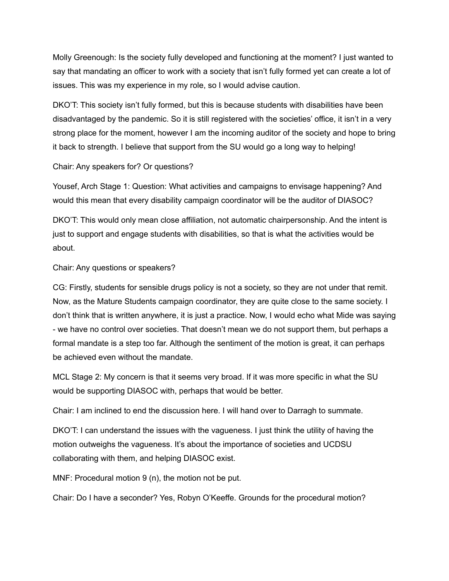Molly Greenough: Is the society fully developed and functioning at the moment? I just wanted to say that mandating an officer to work with a society that isn't fully formed yet can create a lot of issues. This was my experience in my role, so I would advise caution.

DKO'T: This society isn't fully formed, but this is because students with disabilities have been disadvantaged by the pandemic. So it is still registered with the societies' office, it isn't in a very strong place for the moment, however I am the incoming auditor of the society and hope to bring it back to strength. I believe that support from the SU would go a long way to helping!

Chair: Any speakers for? Or questions?

Yousef, Arch Stage 1: Question: What activities and campaigns to envisage happening? And would this mean that every disability campaign coordinator will be the auditor of DIASOC?

DKO'T: This would only mean close affiliation, not automatic chairpersonship. And the intent is just to support and engage students with disabilities, so that is what the activities would be about.

Chair: Any questions or speakers?

CG: Firstly, students for sensible drugs policy is not a society, so they are not under that remit. Now, as the Mature Students campaign coordinator, they are quite close to the same society. I don't think that is written anywhere, it is just a practice. Now, I would echo what Mide was saying - we have no control over societies. That doesn't mean we do not support them, but perhaps a formal mandate is a step too far. Although the sentiment of the motion is great, it can perhaps be achieved even without the mandate.

MCL Stage 2: My concern is that it seems very broad. If it was more specific in what the SU would be supporting DIASOC with, perhaps that would be better.

Chair: I am inclined to end the discussion here. I will hand over to Darragh to summate.

DKO'T: I can understand the issues with the vagueness. I just think the utility of having the motion outweighs the vagueness. It's about the importance of societies and UCDSU collaborating with them, and helping DIASOC exist.

MNF: Procedural motion 9 (n), the motion not be put.

Chair: Do I have a seconder? Yes, Robyn O'Keeffe. Grounds for the procedural motion?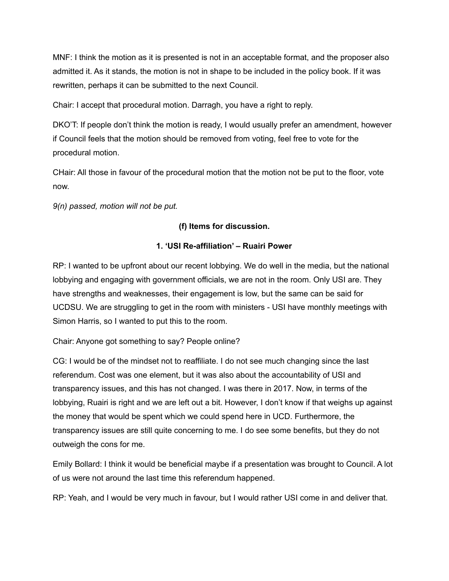MNF: I think the motion as it is presented is not in an acceptable format, and the proposer also admitted it. As it stands, the motion is not in shape to be included in the policy book. If it was rewritten, perhaps it can be submitted to the next Council.

Chair: I accept that procedural motion. Darragh, you have a right to reply.

DKO'T: If people don't think the motion is ready, I would usually prefer an amendment, however if Council feels that the motion should be removed from voting, feel free to vote for the procedural motion.

CHair: All those in favour of the procedural motion that the motion not be put to the floor, vote now.

*9(n) passed, motion will not be put.*

## **(f) Items for discussion.**

## **1. 'USI Re-affiliation' – Ruairi Power**

RP: I wanted to be upfront about our recent lobbying. We do well in the media, but the national lobbying and engaging with government officials, we are not in the room. Only USI are. They have strengths and weaknesses, their engagement is low, but the same can be said for UCDSU. We are struggling to get in the room with ministers - USI have monthly meetings with Simon Harris, so I wanted to put this to the room.

## Chair: Anyone got something to say? People online?

CG: I would be of the mindset not to reaffiliate. I do not see much changing since the last referendum. Cost was one element, but it was also about the accountability of USI and transparency issues, and this has not changed. I was there in 2017. Now, in terms of the lobbying, Ruairi is right and we are left out a bit. However, I don't know if that weighs up against the money that would be spent which we could spend here in UCD. Furthermore, the transparency issues are still quite concerning to me. I do see some benefits, but they do not outweigh the cons for me.

Emily Bollard: I think it would be beneficial maybe if a presentation was brought to Council. A lot of us were not around the last time this referendum happened.

RP: Yeah, and I would be very much in favour, but I would rather USI come in and deliver that.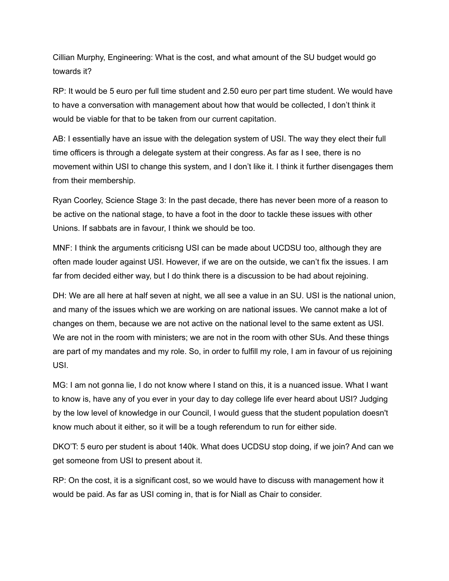Cillian Murphy, Engineering: What is the cost, and what amount of the SU budget would go towards it?

RP: It would be 5 euro per full time student and 2.50 euro per part time student. We would have to have a conversation with management about how that would be collected, I don't think it would be viable for that to be taken from our current capitation.

AB: I essentially have an issue with the delegation system of USI. The way they elect their full time officers is through a delegate system at their congress. As far as I see, there is no movement within USI to change this system, and I don't like it. I think it further disengages them from their membership.

Ryan Coorley, Science Stage 3: In the past decade, there has never been more of a reason to be active on the national stage, to have a foot in the door to tackle these issues with other Unions. If sabbats are in favour, I think we should be too.

MNF: I think the arguments criticisng USI can be made about UCDSU too, although they are often made louder against USI. However, if we are on the outside, we can't fix the issues. I am far from decided either way, but I do think there is a discussion to be had about rejoining.

DH: We are all here at half seven at night, we all see a value in an SU. USI is the national union, and many of the issues which we are working on are national issues. We cannot make a lot of changes on them, because we are not active on the national level to the same extent as USI. We are not in the room with ministers; we are not in the room with other SUs. And these things are part of my mandates and my role. So, in order to fulfill my role, I am in favour of us rejoining USI.

MG: I am not gonna lie, I do not know where I stand on this, it is a nuanced issue. What I want to know is, have any of you ever in your day to day college life ever heard about USI? Judging by the low level of knowledge in our Council, I would guess that the student population doesn't know much about it either, so it will be a tough referendum to run for either side.

DKO'T: 5 euro per student is about 140k. What does UCDSU stop doing, if we join? And can we get someone from USI to present about it.

RP: On the cost, it is a significant cost, so we would have to discuss with management how it would be paid. As far as USI coming in, that is for Niall as Chair to consider.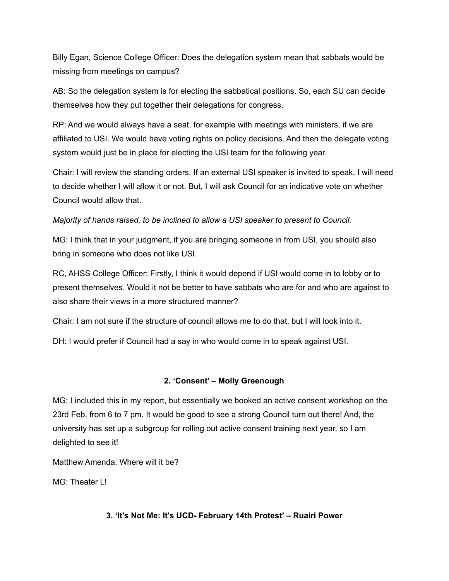Billy Egan, Science College Officer: Does the delegation system mean that sabbats would be missing from meetings on campus?

AB: So the delegation system is for electing the sabbatical positions. So, each SU can decide themselves how they put together their delegations for congress.

RP: And we would always have a seat, for example with meetings with ministers, if we are affiliated to USI. We would have voting rights on policy decisions. And then the delegate voting system would just be in place for electing the USI team for the following year.

Chair: I will review the standing orders. If an external USI speaker is invited to speak, I will need to decide whether I will allow it or not. But, I will ask Council for an indicative vote on whether Council would allow that.

*Majority of hands raised, to be inclined to allow a USI speaker to present to Council.*

MG: I think that in your judgment, if you are bringing someone in from USI, you should also bring in someone who does not like USI.

RC, AHSS College Officer: Firstly, I think it would depend if USI would come in to lobby or to present themselves. Would it not be better to have sabbats who are for and who are against to also share their views in a more structured manner?

Chair: I am not sure if the structure of council allows me to do that, but I will look into it.

DH: I would prefer if Council had a say in who would come in to speak against USI.

#### **2. 'Consent' – Molly Greenough**

MG: I included this in my report, but essentially we booked an active consent workshop on the 23rd Feb, from 6 to 7 pm. It would be good to see a strong Council turn out there! And, the university has set up a subgroup for rolling out active consent training next year, so I am delighted to see it!

Matthew Amenda: Where will it be?

MG: Theater L!

#### **3. 'It's Not Me: It's UCD- February 14th Protest' – Ruairi Power**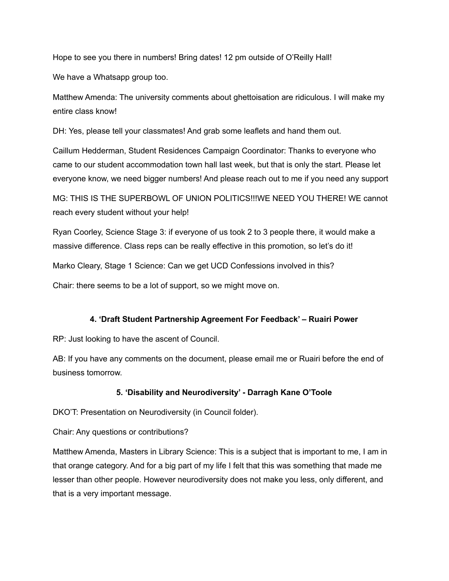Hope to see you there in numbers! Bring dates! 12 pm outside of O'Reilly Hall!

We have a Whatsapp group too.

Matthew Amenda: The university comments about ghettoisation are ridiculous. I will make my entire class know!

DH: Yes, please tell your classmates! And grab some leaflets and hand them out.

Caillum Hedderman, Student Residences Campaign Coordinator: Thanks to everyone who came to our student accommodation town hall last week, but that is only the start. Please let everyone know, we need bigger numbers! And please reach out to me if you need any support

MG: THIS IS THE SUPERBOWL OF UNION POLITICS!!!WE NEED YOU THERE! WE cannot reach every student without your help!

Ryan Coorley, Science Stage 3: if everyone of us took 2 to 3 people there, it would make a massive difference. Class reps can be really effective in this promotion, so let's do it!

Marko Cleary, Stage 1 Science: Can we get UCD Confessions involved in this?

Chair: there seems to be a lot of support, so we might move on.

#### **4. 'Draft Student Partnership Agreement For Feedback' – Ruairi Power**

RP: Just looking to have the ascent of Council.

AB: If you have any comments on the document, please email me or Ruairi before the end of business tomorrow.

## **5. 'Disability and Neurodiversity' - Darragh Kane O'Toole**

DKO'T: Presentation on Neurodiversity (in Council folder).

Chair: Any questions or contributions?

Matthew Amenda, Masters in Library Science: This is a subject that is important to me, I am in that orange category. And for a big part of my life I felt that this was something that made me lesser than other people. However neurodiversity does not make you less, only different, and that is a very important message.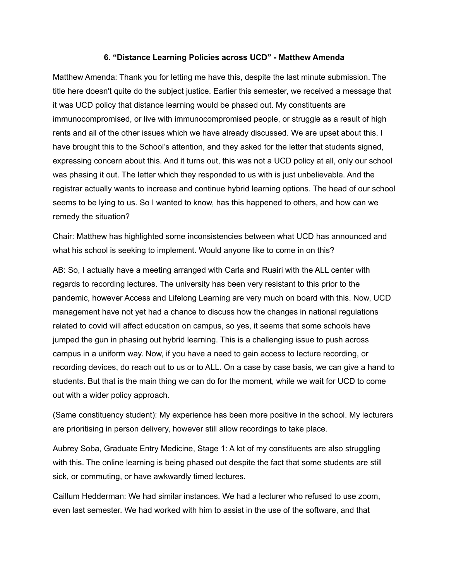#### **6. "Distance Learning Policies across UCD" - Matthew Amenda**

Matthew Amenda: Thank you for letting me have this, despite the last minute submission. The title here doesn't quite do the subject justice. Earlier this semester, we received a message that it was UCD policy that distance learning would be phased out. My constituents are immunocompromised, or live with immunocompromised people, or struggle as a result of high rents and all of the other issues which we have already discussed. We are upset about this. I have brought this to the School's attention, and they asked for the letter that students signed, expressing concern about this. And it turns out, this was not a UCD policy at all, only our school was phasing it out. The letter which they responded to us with is just unbelievable. And the registrar actually wants to increase and continue hybrid learning options. The head of our school seems to be lying to us. So I wanted to know, has this happened to others, and how can we remedy the situation?

Chair: Matthew has highlighted some inconsistencies between what UCD has announced and what his school is seeking to implement. Would anyone like to come in on this?

AB: So, I actually have a meeting arranged with Carla and Ruairi with the ALL center with regards to recording lectures. The university has been very resistant to this prior to the pandemic, however Access and Lifelong Learning are very much on board with this. Now, UCD management have not yet had a chance to discuss how the changes in national regulations related to covid will affect education on campus, so yes, it seems that some schools have jumped the gun in phasing out hybrid learning. This is a challenging issue to push across campus in a uniform way. Now, if you have a need to gain access to lecture recording, or recording devices, do reach out to us or to ALL. On a case by case basis, we can give a hand to students. But that is the main thing we can do for the moment, while we wait for UCD to come out with a wider policy approach.

(Same constituency student): My experience has been more positive in the school. My lecturers are prioritising in person delivery, however still allow recordings to take place.

Aubrey Soba, Graduate Entry Medicine, Stage 1: A lot of my constituents are also struggling with this. The online learning is being phased out despite the fact that some students are still sick, or commuting, or have awkwardly timed lectures.

Caillum Hedderman: We had similar instances. We had a lecturer who refused to use zoom, even last semester. We had worked with him to assist in the use of the software, and that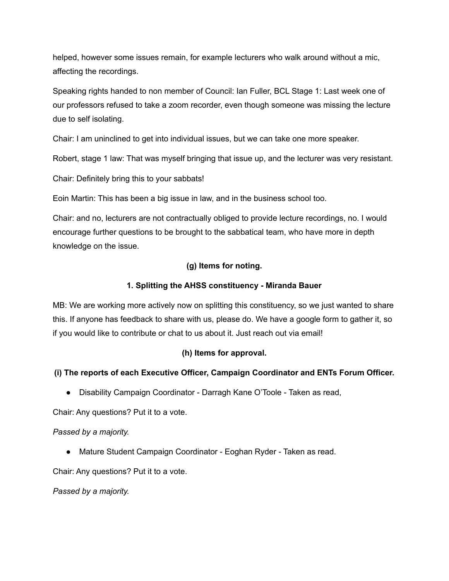helped, however some issues remain, for example lecturers who walk around without a mic, affecting the recordings.

Speaking rights handed to non member of Council: Ian Fuller, BCL Stage 1: Last week one of our professors refused to take a zoom recorder, even though someone was missing the lecture due to self isolating.

Chair: I am uninclined to get into individual issues, but we can take one more speaker.

Robert, stage 1 law: That was myself bringing that issue up, and the lecturer was very resistant.

Chair: Definitely bring this to your sabbats!

Eoin Martin: This has been a big issue in law, and in the business school too.

Chair: and no, lecturers are not contractually obliged to provide lecture recordings, no. I would encourage further questions to be brought to the sabbatical team, who have more in depth knowledge on the issue.

## **(g) Items for noting.**

### **1. Splitting the AHSS constituency - Miranda Bauer**

MB: We are working more actively now on splitting this constituency, so we just wanted to share this. If anyone has feedback to share with us, please do. We have a google form to gather it, so if you would like to contribute or chat to us about it. Just reach out via email!

## **(h) Items for approval.**

## **(i) The reports of each Executive Officer, Campaign Coordinator and ENTs Forum Officer.**

● Disability Campaign Coordinator - Darragh Kane O'Toole - Taken as read,

Chair: Any questions? Put it to a vote.

#### *Passed by a majority.*

● Mature Student Campaign Coordinator - Eoghan Ryder - Taken as read.

Chair: Any questions? Put it to a vote.

*Passed by a majority.*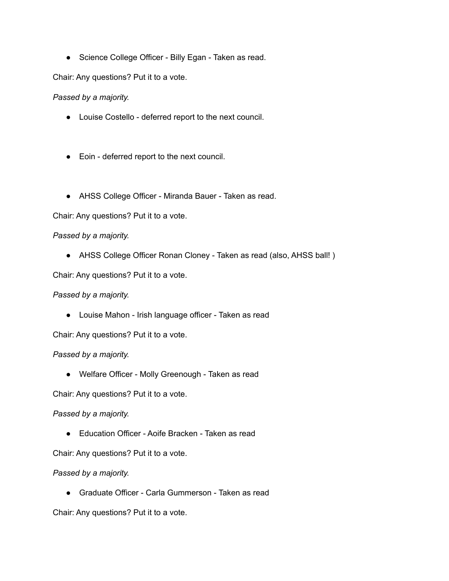● Science College Officer - Billy Egan - Taken as read.

Chair: Any questions? Put it to a vote.

*Passed by a majority.*

- Louise Costello deferred report to the next council.
- Eoin deferred report to the next council.
- AHSS College Officer Miranda Bauer Taken as read.

Chair: Any questions? Put it to a vote.

#### *Passed by a majority.*

• AHSS College Officer Ronan Cloney - Taken as read (also, AHSS ball!)

Chair: Any questions? Put it to a vote.

#### *Passed by a majority.*

● Louise Mahon - Irish language officer - Taken as read

Chair: Any questions? Put it to a vote.

*Passed by a majority.*

● Welfare Officer - Molly Greenough - Taken as read

Chair: Any questions? Put it to a vote.

*Passed by a majority.*

● Education Officer - Aoife Bracken - Taken as read

Chair: Any questions? Put it to a vote.

#### *Passed by a majority.*

● Graduate Officer - Carla Gummerson - Taken as read

Chair: Any questions? Put it to a vote.